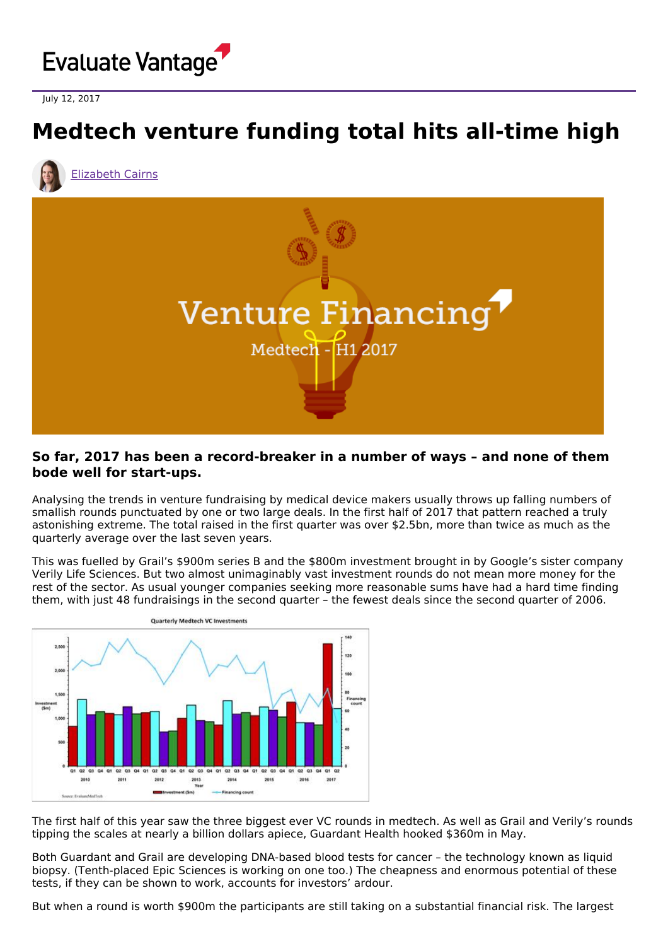

July 12, 2017

## **Medtech venture funding total hits all-time high**



[Elizabeth](https://www.evaluate.com/vantage/editorial-team/elizabeth-cairns) Cairns



## **So far, 2017 has been a record-breaker in a number of ways – and none of them bode well for start-ups.**

Analysing the trends in venture fundraising by medical device makers usually throws up falling numbers of smallish rounds punctuated by one or two large deals. In the first half of 2017 that pattern reached a truly astonishing extreme. The total raised in the first quarter was over \$2.5bn, more than twice as much as the quarterly average over the last seven years.

This was fuelled by Grail's \$900m series B and the \$800m investment brought in by Google's sister company Verily Life Sciences. But two almost unimaginably vast investment rounds do not mean more money for the rest of the sector. As usual younger companies seeking more reasonable sums have had a hard time finding them, with just 48 fundraisings in the second quarter – the fewest deals since the second quarter of 2006.



The first half of this year saw the three biggest ever VC rounds in medtech. As well as Grail and Verily's rounds tipping the scales at nearly a billion dollars apiece, Guardant Health hooked \$360m in May.

Both Guardant and Grail are developing DNA-based blood tests for cancer – the technology known as liquid biopsy. (Tenth-placed Epic Sciences is working on one too.) The cheapness and enormous potential of these tests, if they can be shown to work, accounts for investors' ardour.

But when a round is worth \$900m the participants are still taking on a substantial financial risk. The largest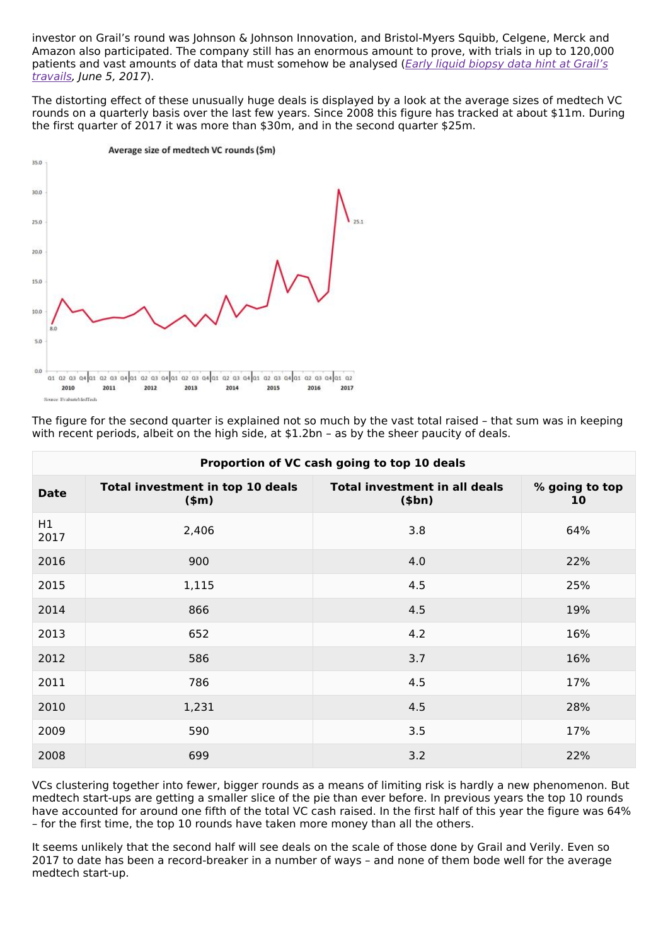investor on Grail's round was Johnson & Johnson Innovation, and Bristol-Myers Squibb, Celgene, Merck and Amazon also participated. The company still has an enormous amount to prove, with trials in up to 120,000 patients and vast amounts of data that must [somehow](http://www.epvantage.com/Universal/View.aspx?type=Story&id=712305&isEPVantage=yes) be analysed (Early liquid biopsy data hint at Grail's travails, June 5, 2017).

The distorting effect of these unusually huge deals is displayed by a look at the average sizes of medtech VC rounds on a quarterly basis over the last few years. Since 2008 this figure has tracked at about \$11m. During the first quarter of 2017 it was more than \$30m, and in the second quarter \$25m.



| Proportion of VC cash going to top 10 deals |                                             |                                                        |                      |  |  |  |
|---------------------------------------------|---------------------------------------------|--------------------------------------------------------|----------------------|--|--|--|
| <b>Date</b>                                 | Total investment in top 10 deals<br>$(\$m)$ | <b>Total investment in all deals</b><br>( <b>5</b> bn) | % going to top<br>10 |  |  |  |
| H1<br>2017                                  | 2,406                                       | 3.8                                                    | 64%                  |  |  |  |
| 2016                                        | 900                                         | 4.0                                                    | 22%                  |  |  |  |
| 2015                                        | 1,115                                       | 4.5                                                    | 25%                  |  |  |  |
| 2014                                        | 866                                         | 4.5                                                    | 19%                  |  |  |  |
| 2013                                        | 652                                         | 4.2                                                    | 16%                  |  |  |  |
| 2012                                        | 586                                         | 3.7                                                    | 16%                  |  |  |  |
| 2011                                        | 786                                         | 4.5                                                    | 17%                  |  |  |  |
| 2010                                        | 1,231                                       | 4.5                                                    | 28%                  |  |  |  |
| 2009                                        | 590                                         | 3.5                                                    | 17%                  |  |  |  |
| 2008                                        | 699                                         | 3.2                                                    | 22%                  |  |  |  |

The figure for the second quarter is explained not so much by the vast total raised – that sum was in keeping with recent periods, albeit on the high side, at \$1.2bn – as by the sheer paucity of deals.

VCs clustering together into fewer, bigger rounds as a means of limiting risk is hardly a new phenomenon. But medtech start-ups are getting a smaller slice of the pie than ever before. In previous years the top 10 rounds have accounted for around one fifth of the total VC cash raised. In the first half of this year the figure was 64% – for the first time, the top 10 rounds have taken more money than all the others.

It seems unlikely that the second half will see deals on the scale of those done by Grail and Verily. Even so 2017 to date has been a record-breaker in a number of ways – and none of them bode well for the average medtech start-up.